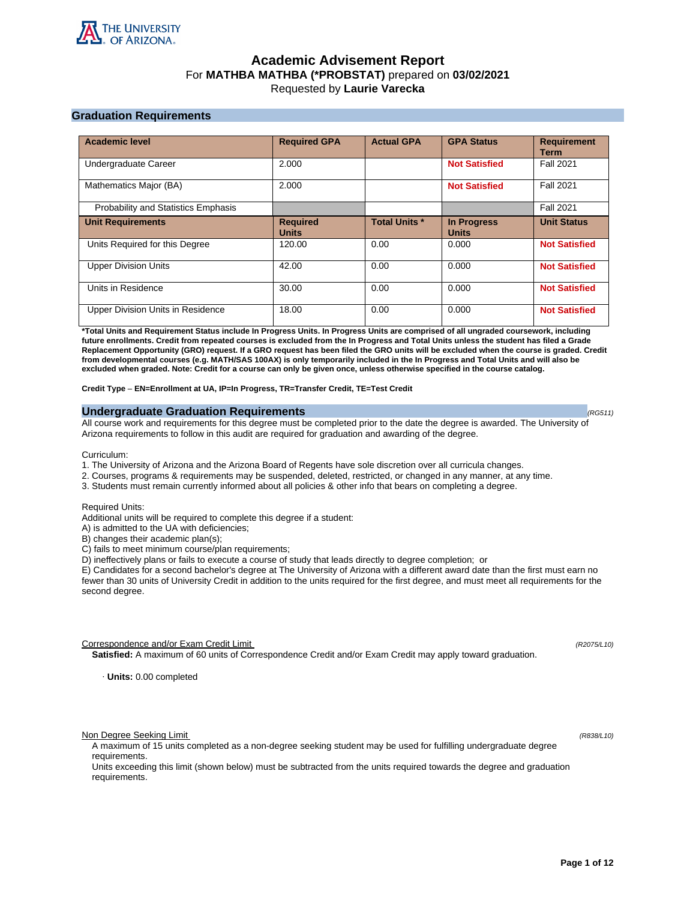

# **Academic Advisement Report** For **MATHBA MATHBA (\*PROBSTAT)** prepared on **03/02/2021** Requested by **Laurie Varecka**

## **Graduation Requirements**

| <b>Academic level</b>                      | <b>Required GPA</b>             | <b>Actual GPA</b>    | <b>GPA Status</b>                  | <b>Requirement</b><br><b>Term</b> |
|--------------------------------------------|---------------------------------|----------------------|------------------------------------|-----------------------------------|
| Undergraduate Career                       | 2.000                           |                      | <b>Not Satisfied</b>               | <b>Fall 2021</b>                  |
| Mathematics Major (BA)                     | 2.000                           |                      | <b>Not Satisfied</b>               | <b>Fall 2021</b>                  |
| <b>Probability and Statistics Emphasis</b> |                                 |                      |                                    | <b>Fall 2021</b>                  |
| <b>Unit Requirements</b>                   | <b>Required</b><br><b>Units</b> | <b>Total Units *</b> | <b>In Progress</b><br><b>Units</b> | <b>Unit Status</b>                |
| Units Required for this Degree             | 120.00                          | 0.00                 | 0.000                              | <b>Not Satisfied</b>              |
| <b>Upper Division Units</b>                | 42.00                           | 0.00                 | 0.000                              | <b>Not Satisfied</b>              |
| Units in Residence                         | 30.00                           | 0.00                 | 0.000                              | <b>Not Satisfied</b>              |
| Upper Division Units in Residence          | 18.00                           | 0.00                 | 0.000                              | <b>Not Satisfied</b>              |

**\*Total Units and Requirement Status include In Progress Units. In Progress Units are comprised of all ungraded coursework, including future enrollments. Credit from repeated courses is excluded from the In Progress and Total Units unless the student has filed a Grade Replacement Opportunity (GRO) request. If a GRO request has been filed the GRO units will be excluded when the course is graded. Credit from developmental courses (e.g. MATH/SAS 100AX) is only temporarily included in the In Progress and Total Units and will also be excluded when graded. Note: Credit for a course can only be given once, unless otherwise specified in the course catalog.**

**Credit Type** – **EN=Enrollment at UA, IP=In Progress, TR=Transfer Credit, TE=Test Credit**

#### **Undergraduate Graduation Requirements (RG511) (RG511) (RG511) (RG511)**

All course work and requirements for this degree must be completed prior to the date the degree is awarded. The University of Arizona requirements to follow in this audit are required for graduation and awarding of the degree.

Curriculum:

- 1. The University of Arizona and the Arizona Board of Regents have sole discretion over all curricula changes.
- 2. Courses, programs & requirements may be suspended, deleted, restricted, or changed in any manner, at any time.
- 3. Students must remain currently informed about all policies & other info that bears on completing a degree.

Required Units:

Additional units will be required to complete this degree if a student:

A) is admitted to the UA with deficiencies;

B) changes their academic plan(s);

C) fails to meet minimum course/plan requirements;

D) ineffectively plans or fails to execute a course of study that leads directly to degree completion; or

E) Candidates for a second bachelor's degree at The University of Arizona with a different award date than the first must earn no fewer than 30 units of University Credit in addition to the units required for the first degree, and must meet all requirements for the second degree.

Correspondence and/or Exam Credit Limit (R2075/L10) (R2075/L10)

**Satisfied:** A maximum of 60 units of Correspondence Credit and/or Exam Credit may apply toward graduation.

· **Units:** 0.00 completed

Non Degree Seeking Limit (R838/L10)

A maximum of 15 units completed as a non-degree seeking student may be used for fulfilling undergraduate degree requirements.

Units exceeding this limit (shown below) must be subtracted from the units required towards the degree and graduation requirements.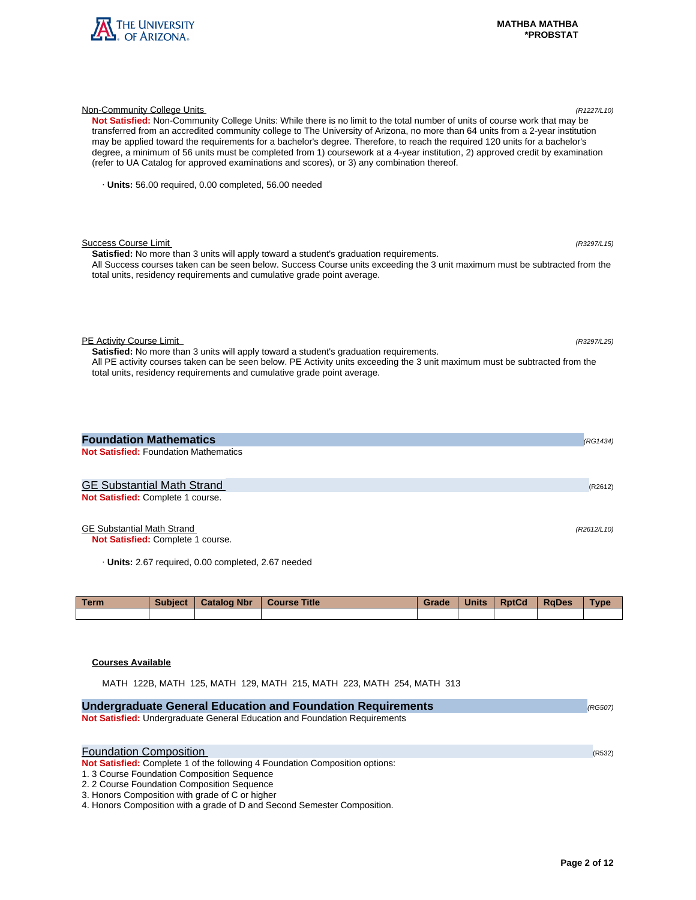

| Not Satisfied: Non-Community College Units: While there is no limit to the total number of units of course work that may be<br>transferred from an accredited community college to The University of Arizona, no more than 64 units from a 2-year institution<br>may be applied toward the requirements for a bachelor's degree. Therefore, to reach the required 120 units for a bachelor's<br>degree, a minimum of 56 units must be completed from 1) coursework at a 4-year institution, 2) approved credit by examination<br>(refer to UA Catalog for approved examinations and scores), or 3) any combination thereof. |             |
|-----------------------------------------------------------------------------------------------------------------------------------------------------------------------------------------------------------------------------------------------------------------------------------------------------------------------------------------------------------------------------------------------------------------------------------------------------------------------------------------------------------------------------------------------------------------------------------------------------------------------------|-------------|
| Units: 56.00 required, 0.00 completed, 56.00 needed                                                                                                                                                                                                                                                                                                                                                                                                                                                                                                                                                                         |             |
| <b>Success Course Limit</b><br><b>Satisfied:</b> No more than 3 units will apply toward a student's graduation requirements.<br>All Success courses taken can be seen below. Success Course units exceeding the 3 unit maximum must be subtracted from the<br>total units, residency requirements and cumulative grade point average.                                                                                                                                                                                                                                                                                       | (R3297/L15) |
| PE Activity Course Limit<br><b>Satisfied:</b> No more than 3 units will apply toward a student's graduation requirements.<br>All PE activity courses taken can be seen below. PE Activity units exceeding the 3 unit maximum must be subtracted from the<br>total units, residency requirements and cumulative grade point average.                                                                                                                                                                                                                                                                                         | (R3297/L25) |
| <b>Foundation Mathematics</b><br><b>Not Satisfied: Foundation Mathematics</b>                                                                                                                                                                                                                                                                                                                                                                                                                                                                                                                                               | (RG1434)    |
| <b>GE Substantial Math Strand</b><br>Not Satisfied: Complete 1 course.                                                                                                                                                                                                                                                                                                                                                                                                                                                                                                                                                      | (R2612)     |

Non-Community College Units (R1227/L10)

# GE Substantial Math Strand (R2612/L10)

**Not Satisfied:** Complete 1 course.

· **Units:** 2.67 required, 0.00 completed, 2.67 needed

| <b>Term</b> | <b>Subject</b> | <b>Catalog Nbr</b> | <b>Course Title</b> | Grade | <b>Units</b> | <b>RptCd</b> | <b>RaDes</b> | <b>Type</b> |
|-------------|----------------|--------------------|---------------------|-------|--------------|--------------|--------------|-------------|
|             |                |                    |                     |       |              |              |              |             |

## **Courses Available**

MATH 122B, MATH 125, MATH 129, MATH 215, MATH 223, MATH 254, MATH 313

| <b>Undergraduate General Education and Foundation Requirements</b>                  | (RG507) |
|-------------------------------------------------------------------------------------|---------|
| Not Satisfied: Undergraduate General Education and Foundation Requirements          |         |
|                                                                                     |         |
| <b>Foundation Composition</b>                                                       | (R532)  |
| <b>Not Satisfied:</b> Complete 1 of the following 4 Foundation Composition options: |         |
| 1. 3 Course Foundation Composition Sequence                                         |         |
| 2. 2 Course Foundation Composition Sequence                                         |         |
| 3. Honors Composition with grade of C or higher                                     |         |
| 4. Honors Composition with a grade of D and Second Semester Composition.            |         |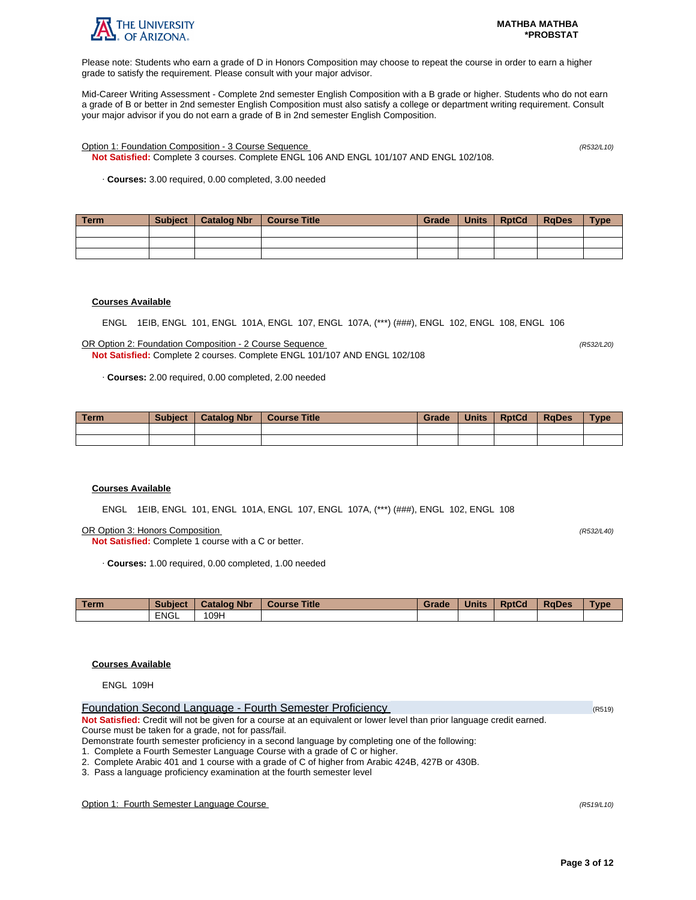

Please note: Students who earn a grade of D in Honors Composition may choose to repeat the course in order to earn a higher grade to satisfy the requirement. Please consult with your major advisor.

Mid-Career Writing Assessment - Complete 2nd semester English Composition with a B grade or higher. Students who do not earn a grade of B or better in 2nd semester English Composition must also satisfy a college or department writing requirement. Consult your major advisor if you do not earn a grade of B in 2nd semester English Composition.

Option 1: Foundation Composition - 3 Course Sequence (R532/L10)

**Not Satisfied:** Complete 3 courses. Complete ENGL 106 AND ENGL 101/107 AND ENGL 102/108.

· **Courses:** 3.00 required, 0.00 completed, 3.00 needed

| Term | Subject | Catalog Nbr   Course Title | Grade | <b>Units</b> | RptCd | RaDes | <b>Type</b> |
|------|---------|----------------------------|-------|--------------|-------|-------|-------------|
|      |         |                            |       |              |       |       |             |
|      |         |                            |       |              |       |       |             |
|      |         |                            |       |              |       |       |             |

## **Courses Available**

ENGL 1EIB, ENGL 101, ENGL 101A, ENGL 107, ENGL 107A, (\*\*\*) (###), ENGL 102, ENGL 108, ENGL 106

OR Option 2: Foundation Composition - 2 Course Sequence (R532/L20) **Not Satisfied:** Complete 2 courses. Complete ENGL 101/107 AND ENGL 102/108

· **Courses:** 2.00 required, 0.00 completed, 2.00 needed

| <b>Term</b> | <b>Subject</b> | <b>Catalog Nbr</b> | <b>Course Title</b> | Grade | <b>Units</b> | <b>RptCd</b> | <b>RaDes</b> | $T$ <sub>V</sub> $pe$ |
|-------------|----------------|--------------------|---------------------|-------|--------------|--------------|--------------|-----------------------|
|             |                |                    |                     |       |              |              |              |                       |
|             |                |                    |                     |       |              |              |              |                       |

## **Courses Available**

ENGL 1EIB, ENGL 101, ENGL 101A, ENGL 107, ENGL 107A, (\*\*\*) (###), ENGL 102, ENGL 108

OR Option 3: Honors Composition (R532/L40)

**Not Satisfied:** Complete 1 course with a C or better.

· **Courses:** 1.00 required, 0.00 completed, 1.00 needed

| <b>Term</b> | <b>Subject</b> | <b>Catalog Nbr</b> | <b>Title</b><br>Course | Grade | <b>Units</b> | <b>RptCd</b> | <b>RaDes</b> | <b>Type</b> |
|-------------|----------------|--------------------|------------------------|-------|--------------|--------------|--------------|-------------|
|             | <b>ENGL</b>    | 109H               |                        |       |              |              |              |             |

## **Courses Available**

ENGL 109H

| Foundation Second Language - Fourth Semester Proficiency                                                                | (R519) |
|-------------------------------------------------------------------------------------------------------------------------|--------|
| Not Satisfied: Credit will not be given for a course at an equivalent or lower level than prior language credit earned. |        |
| Course must be taken for a grade, not for pass/fail.                                                                    |        |
| Demonstrate fourth semester proficiency in a second language by completing one of the following:                        |        |

1. Complete a Fourth Semester Language Course with a grade of C or higher.

2. Complete Arabic 401 and 1 course with a grade of C of higher from Arabic 424B, 427B or 430B.

3. Pass a language proficiency examination at the fourth semester level

Option 1: Fourth Semester Language Course (R519/L10)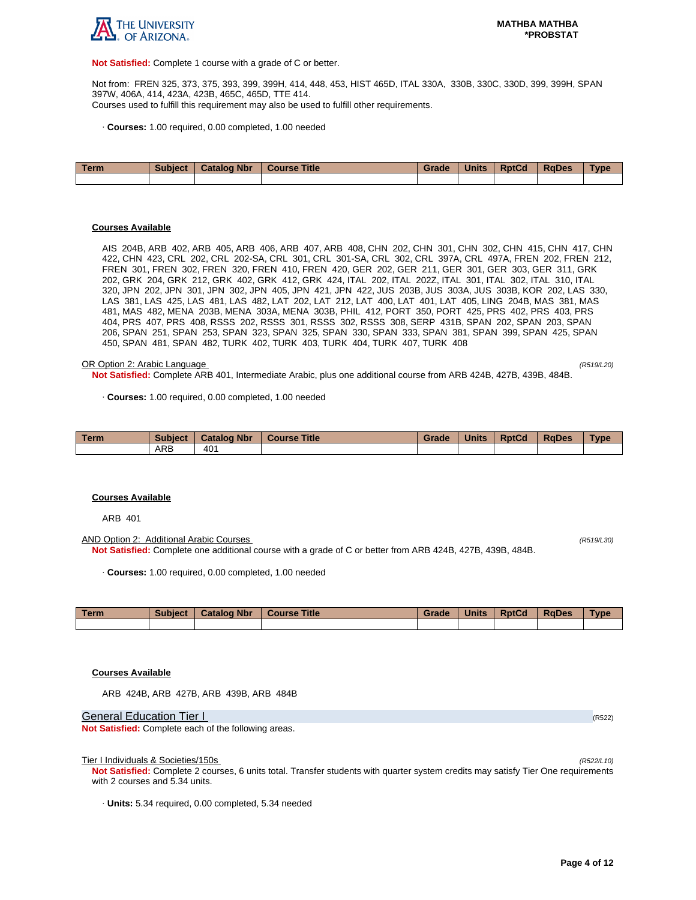

**Not Satisfied:** Complete 1 course with a grade of C or better.

Not from: FREN 325, 373, 375, 393, 399, 399H, 414, 448, 453, HIST 465D, ITAL 330A, 330B, 330C, 330D, 399, 399H, SPAN 397W, 406A, 414, 423A, 423B, 465C, 465D, TTE 414. Courses used to fulfill this requirement may also be used to fulfill other requirements.

· **Courses:** 1.00 required, 0.00 completed, 1.00 needed

| Term | <b>Subject</b> | <b>Catalog Nbr</b> | Course Title | Grade | <b>Units</b> | <b>RptCd</b> | <b>RaDes</b> | <b>Type</b> |
|------|----------------|--------------------|--------------|-------|--------------|--------------|--------------|-------------|
|      |                |                    |              |       |              |              |              |             |

#### **Courses Available**

AIS 204B, ARB 402, ARB 405, ARB 406, ARB 407, ARB 408, CHN 202, CHN 301, CHN 302, CHN 415, CHN 417, CHN 422, CHN 423, CRL 202, CRL 202-SA, CRL 301, CRL 301-SA, CRL 302, CRL 397A, CRL 497A, FREN 202, FREN 212, FREN 301, FREN 302, FREN 320, FREN 410, FREN 420, GER 202, GER 211, GER 301, GER 303, GER 311, GRK 202, GRK 204, GRK 212, GRK 402, GRK 412, GRK 424, ITAL 202, ITAL 202Z, ITAL 301, ITAL 302, ITAL 310, ITAL 320, JPN 202, JPN 301, JPN 302, JPN 405, JPN 421, JPN 422, JUS 203B, JUS 303A, JUS 303B, KOR 202, LAS 330, LAS 381, LAS 425, LAS 481, LAS 482, LAT 202, LAT 212, LAT 400, LAT 401, LAT 405, LING 204B, MAS 381, MAS 481, MAS 482, MENA 203B, MENA 303A, MENA 303B, PHIL 412, PORT 350, PORT 425, PRS 402, PRS 403, PRS 404, PRS 407, PRS 408, RSSS 202, RSSS 301, RSSS 302, RSSS 308, SERP 431B, SPAN 202, SPAN 203, SPAN 206, SPAN 251, SPAN 253, SPAN 323, SPAN 325, SPAN 330, SPAN 333, SPAN 381, SPAN 399, SPAN 425, SPAN 450, SPAN 481, SPAN 482, TURK 402, TURK 403, TURK 404, TURK 407, TURK 408

#### OR Option 2: Arabic Language (R519/L20)

**Not Satisfied:** Complete ARB 401, Intermediate Arabic, plus one additional course from ARB 424B, 427B, 439B, 484B.

· **Courses:** 1.00 required, 0.00 completed, 1.00 needed

| Term | <b>Subject</b> | <b>Catalog Nbr</b> | <b>Course Title</b> | Grade | <b>Units</b> | <b>RptCd</b> | <b>RaDes</b> | <b>Type</b> |
|------|----------------|--------------------|---------------------|-------|--------------|--------------|--------------|-------------|
|      | <b>ARB</b>     | 40 <sup>1</sup>    |                     |       |              |              |              |             |

#### **Courses Available**

ARB 401

AND Option 2: Additional Arabic Courses (R519/L30) **Not Satisfied:** Complete one additional course with a grade of C or better from ARB 424B, 427B, 439B, 484B.

· **Courses:** 1.00 required, 0.00 completed, 1.00 needed

| Term | <b>Subject</b> | <b>Catalog Nbr</b> | <b>Course Title</b> | Grade | <b>Units</b> | <b>RptCd</b> | <b>RaDes</b> | Type |
|------|----------------|--------------------|---------------------|-------|--------------|--------------|--------------|------|
|      |                |                    |                     |       |              |              |              |      |

## **Courses Available**

ARB 424B, ARB 427B, ARB 439B, ARB 484B

General Education Tier I (R522) (R522)

**Not Satisfied:** Complete each of the following areas.

Tier I Individuals & Societies/150s

**Not Satisfied:** Complete 2 courses, 6 units total. Transfer students with quarter system credits may satisfy Tier One requirements with 2 courses and 5.34 units.

· **Units:** 5.34 required, 0.00 completed, 5.34 needed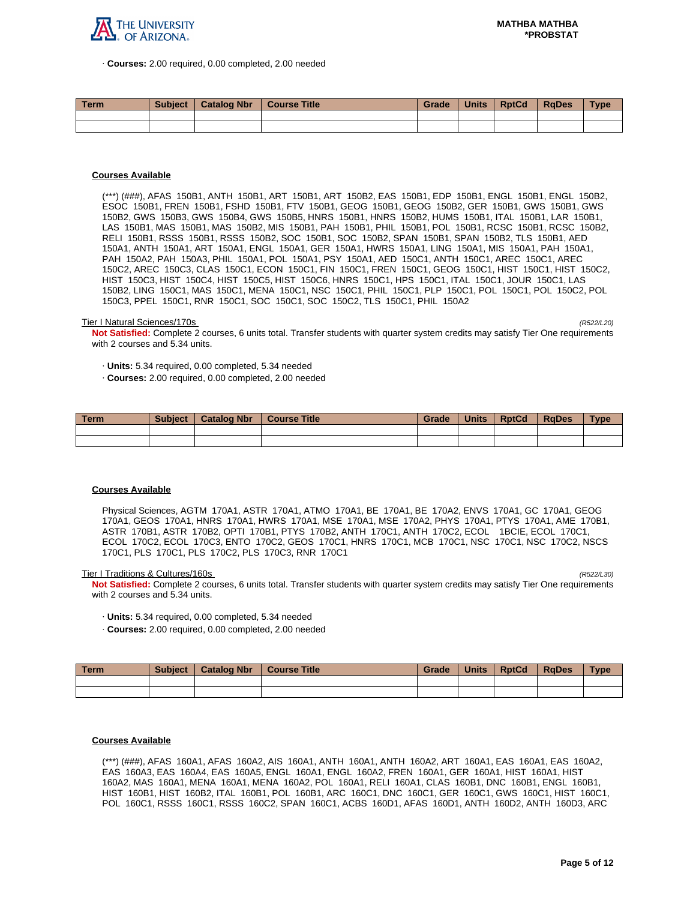

· **Courses:** 2.00 required, 0.00 completed, 2.00 needed

| <b>Term</b> | <b>Subject</b> | <b>Catalog Nbr</b> | Course Title | Grade | <b>Units</b> | <b>RptCd</b> | RaDes | <b>Type</b> |
|-------------|----------------|--------------------|--------------|-------|--------------|--------------|-------|-------------|
|             |                |                    |              |       |              |              |       |             |
|             |                |                    |              |       |              |              |       |             |

## **Courses Available**

(\*\*\*) (###), AFAS 150B1, ANTH 150B1, ART 150B1, ART 150B2, EAS 150B1, EDP 150B1, ENGL 150B1, ENGL 150B2, ESOC 150B1, FREN 150B1, FSHD 150B1, FTV 150B1, GEOG 150B1, GEOG 150B2, GER 150B1, GWS 150B1, GWS 150B2, GWS 150B3, GWS 150B4, GWS 150B5, HNRS 150B1, HNRS 150B2, HUMS 150B1, ITAL 150B1, LAR 150B1, LAS 150B1, MAS 150B1, MAS 150B2, MIS 150B1, PAH 150B1, PHIL 150B1, POL 150B1, RCSC 150B1, RCSC 150B2, RELI 150B1, RSSS 150B1, RSSS 150B2, SOC 150B1, SOC 150B2, SPAN 150B1, SPAN 150B2, TLS 150B1, AED 150A1, ANTH 150A1, ART 150A1, ENGL 150A1, GER 150A1, HWRS 150A1, LING 150A1, MIS 150A1, PAH 150A1, PAH 150A2, PAH 150A3, PHIL 150A1, POL 150A1, PSY 150A1, AED 150C1, ANTH 150C1, AREC 150C1, AREC 150C2, AREC 150C3, CLAS 150C1, ECON 150C1, FIN 150C1, FREN 150C1, GEOG 150C1, HIST 150C1, HIST 150C2, HIST 150C3, HIST 150C4, HIST 150C5, HIST 150C6, HNRS 150C1, HPS 150C1, ITAL 150C1, JOUR 150C1, LAS 150B2, LING 150C1, MAS 150C1, MENA 150C1, NSC 150C1, PHIL 150C1, PLP 150C1, POL 150C1, POL 150C2, POL 150C3, PPEL 150C1, RNR 150C1, SOC 150C1, SOC 150C2, TLS 150C1, PHIL 150A2

#### Tier I Natural Sciences/170s (R522/L20)

**Not Satisfied:** Complete 2 courses, 6 units total. Transfer students with quarter system credits may satisfy Tier One requirements with 2 courses and 5.34 units.

· **Units:** 5.34 required, 0.00 completed, 5.34 needed

· **Courses:** 2.00 required, 0.00 completed, 2.00 needed

| Term | <b>Subject</b> | <b>Catalog Nbr</b> | <b>Course Title</b> | Grade | <b>Units</b> | <b>RptCd</b> | <b>RaDes</b> | <b>Type</b> |
|------|----------------|--------------------|---------------------|-------|--------------|--------------|--------------|-------------|
|      |                |                    |                     |       |              |              |              |             |
|      |                |                    |                     |       |              |              |              |             |

#### **Courses Available**

Physical Sciences, AGTM 170A1, ASTR 170A1, ATMO 170A1, BE 170A1, BE 170A2, ENVS 170A1, GC 170A1, GEOG 170A1, GEOS 170A1, HNRS 170A1, HWRS 170A1, MSE 170A1, MSE 170A2, PHYS 170A1, PTYS 170A1, AME 170B1, ASTR 170B1, ASTR 170B2, OPTI 170B1, PTYS 170B2, ANTH 170C1, ANTH 170C2, ECOL 1BCIE, ECOL 170C1, ECOL 170C2, ECOL 170C3, ENTO 170C2, GEOS 170C1, HNRS 170C1, MCB 170C1, NSC 170C1, NSC 170C2, NSCS 170C1, PLS 170C1, PLS 170C2, PLS 170C3, RNR 170C1

Tier I Traditions & Cultures/160s

**Not Satisfied:** Complete 2 courses, 6 units total. Transfer students with quarter system credits may satisfy Tier One requirements with 2 courses and 5.34 units.

· **Units:** 5.34 required, 0.00 completed, 5.34 needed

· **Courses:** 2.00 required, 0.00 completed, 2.00 needed

| Term. | <b>Subject</b> | <b>Catalog Nbr</b> | Course Title | Grade | <b>Units</b> | <b>RptCd</b> | RaDes | <b>Type</b> |
|-------|----------------|--------------------|--------------|-------|--------------|--------------|-------|-------------|
|       |                |                    |              |       |              |              |       |             |
|       |                |                    |              |       |              |              |       |             |

#### **Courses Available**

(\*\*\*) (###), AFAS 160A1, AFAS 160A2, AIS 160A1, ANTH 160A1, ANTH 160A2, ART 160A1, EAS 160A1, EAS 160A2, EAS 160A3, EAS 160A4, EAS 160A5, ENGL 160A1, ENGL 160A2, FREN 160A1, GER 160A1, HIST 160A1, HIST 160A2, MAS 160A1, MENA 160A1, MENA 160A2, POL 160A1, RELI 160A1, CLAS 160B1, DNC 160B1, ENGL 160B1, HIST 160B1, HIST 160B2, ITAL 160B1, POL 160B1, ARC 160C1, DNC 160C1, GER 160C1, GWS 160C1, HIST 160C1, POL 160C1, RSSS 160C1, RSSS 160C2, SPAN 160C1, ACBS 160D1, AFAS 160D1, ANTH 160D2, ANTH 160D3, ARC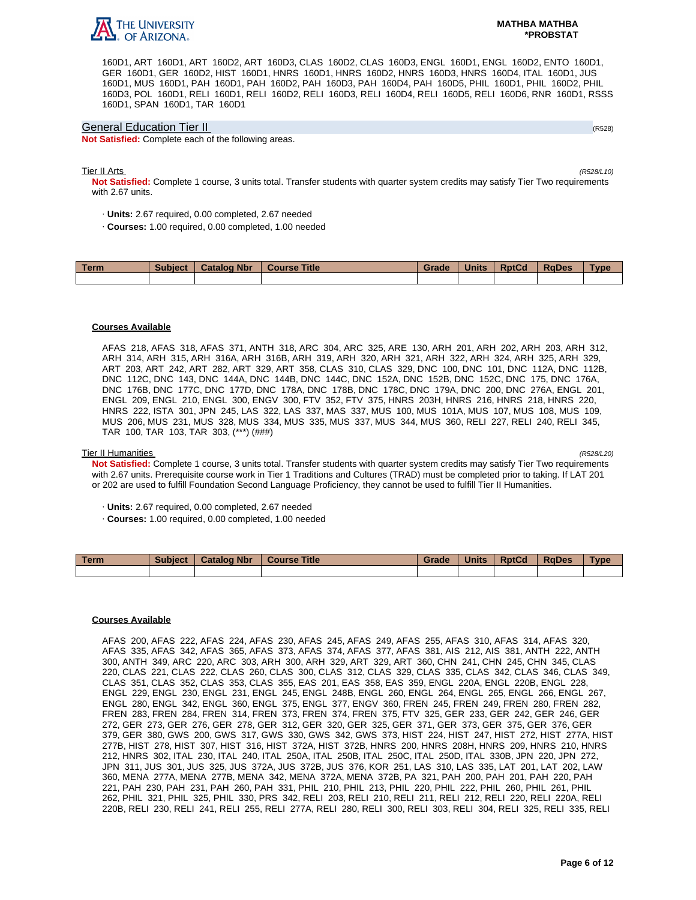

160D1, ART 160D1, ART 160D2, ART 160D3, CLAS 160D2, CLAS 160D3, ENGL 160D1, ENGL 160D2, ENTO 160D1, GER 160D1, GER 160D2, HIST 160D1, HNRS 160D1, HNRS 160D2, HNRS 160D3, HNRS 160D4, ITAL 160D1, JUS 160D1, MUS 160D1, PAH 160D1, PAH 160D2, PAH 160D3, PAH 160D4, PAH 160D5, PHIL 160D1, PHIL 160D2, PHIL 160D3, POL 160D1, RELI 160D1, RELI 160D2, RELI 160D3, RELI 160D4, RELI 160D5, RELI 160D6, RNR 160D1, RSSS 160D1, SPAN 160D1, TAR 160D1

#### General Education Tier II (R528)

**Not Satisfied:** Complete each of the following areas.

#### Tier II Arts (R528/L10)

**Not Satisfied:** Complete 1 course, 3 units total. Transfer students with quarter system credits may satisfy Tier Two requirements with 2.67 units.

- · **Units:** 2.67 required, 0.00 completed, 2.67 needed
- · **Courses:** 1.00 required, 0.00 completed, 1.00 needed

| Term | <b>Subject</b> | <b>Catalog Nbr</b> | <b>Course Title</b> | Grade | <b>Units</b> | <b>RptCd</b> | <b>RaDes</b> | Type |
|------|----------------|--------------------|---------------------|-------|--------------|--------------|--------------|------|
|      |                |                    |                     |       |              |              |              |      |

## **Courses Available**

AFAS 218, AFAS 318, AFAS 371, ANTH 318, ARC 304, ARC 325, ARE 130, ARH 201, ARH 202, ARH 203, ARH 312, ARH 314, ARH 315, ARH 316A, ARH 316B, ARH 319, ARH 320, ARH 321, ARH 322, ARH 324, ARH 325, ARH 329, ART 203, ART 242, ART 282, ART 329, ART 358, CLAS 310, CLAS 329, DNC 100, DNC 101, DNC 112A, DNC 112B, DNC 112C, DNC 143, DNC 144A, DNC 144B, DNC 144C, DNC 152A, DNC 152B, DNC 152C, DNC 175, DNC 176A, DNC 176B, DNC 177C, DNC 177D, DNC 178A, DNC 178B, DNC 178C, DNC 179A, DNC 200, DNC 276A, ENGL 201, ENGL 209, ENGL 210, ENGL 300, ENGV 300, FTV 352, FTV 375, HNRS 203H, HNRS 216, HNRS 218, HNRS 220, HNRS 222, ISTA 301, JPN 245, LAS 322, LAS 337, MAS 337, MUS 100, MUS 101A, MUS 107, MUS 108, MUS 109, MUS 206, MUS 231, MUS 328, MUS 334, MUS 335, MUS 337, MUS 344, MUS 360, RELI 227, RELI 240, RELI 345, TAR 100, TAR 103, TAR 303, (\*\*\*) (###)

#### Tier II Humanities (R528/L20)

**Not Satisfied:** Complete 1 course, 3 units total. Transfer students with quarter system credits may satisfy Tier Two requirements with 2.67 units. Prerequisite course work in Tier 1 Traditions and Cultures (TRAD) must be completed prior to taking. If LAT 201 or 202 are used to fulfill Foundation Second Language Proficiency, they cannot be used to fulfill Tier II Humanities.

- · **Units:** 2.67 required, 0.00 completed, 2.67 needed
- · **Courses:** 1.00 required, 0.00 completed, 1.00 needed

| Term | <b>Subject</b> | <b>Catalog Nbr</b> | Course Title | Grade | <b>Units</b> | <b>RptCd</b> | <b>RaDes</b> | Type |
|------|----------------|--------------------|--------------|-------|--------------|--------------|--------------|------|
|      |                |                    |              |       |              |              |              |      |

#### **Courses Available**

AFAS 200, AFAS 222, AFAS 224, AFAS 230, AFAS 245, AFAS 249, AFAS 255, AFAS 310, AFAS 314, AFAS 320, AFAS 335, AFAS 342, AFAS 365, AFAS 373, AFAS 374, AFAS 377, AFAS 381, AIS 212, AIS 381, ANTH 222, ANTH 300, ANTH 349, ARC 220, ARC 303, ARH 300, ARH 329, ART 329, ART 360, CHN 241, CHN 245, CHN 345, CLAS 220, CLAS 221, CLAS 222, CLAS 260, CLAS 300, CLAS 312, CLAS 329, CLAS 335, CLAS 342, CLAS 346, CLAS 349, CLAS 351, CLAS 352, CLAS 353, CLAS 355, EAS 201, EAS 358, EAS 359, ENGL 220A, ENGL 220B, ENGL 228, ENGL 229, ENGL 230, ENGL 231, ENGL 245, ENGL 248B, ENGL 260, ENGL 264, ENGL 265, ENGL 266, ENGL 267, ENGL 280, ENGL 342, ENGL 360, ENGL 375, ENGL 377, ENGV 360, FREN 245, FREN 249, FREN 280, FREN 282, FREN 283, FREN 284, FREN 314, FREN 373, FREN 374, FREN 375, FTV 325, GER 233, GER 242, GER 246, GER 272, GER 273, GER 276, GER 278, GER 312, GER 320, GER 325, GER 371, GER 373, GER 375, GER 376, GER 379, GER 380, GWS 200, GWS 317, GWS 330, GWS 342, GWS 373, HIST 224, HIST 247, HIST 272, HIST 277A, HIST 277B, HIST 278, HIST 307, HIST 316, HIST 372A, HIST 372B, HNRS 200, HNRS 208H, HNRS 209, HNRS 210, HNRS 212, HNRS 302, ITAL 230, ITAL 240, ITAL 250A, ITAL 250B, ITAL 250C, ITAL 250D, ITAL 330B, JPN 220, JPN 272, JPN 311, JUS 301, JUS 325, JUS 372A, JUS 372B, JUS 376, KOR 251, LAS 310, LAS 335, LAT 201, LAT 202, LAW 360, MENA 277A, MENA 277B, MENA 342, MENA 372A, MENA 372B, PA 321, PAH 200, PAH 201, PAH 220, PAH 221, PAH 230, PAH 231, PAH 260, PAH 331, PHIL 210, PHIL 213, PHIL 220, PHIL 222, PHIL 260, PHIL 261, PHIL 262, PHIL 321, PHIL 325, PHIL 330, PRS 342, RELI 203, RELI 210, RELI 211, RELI 212, RELI 220, RELI 220A, RELI 220B, RELI 230, RELI 241, RELI 255, RELI 277A, RELI 280, RELI 300, RELI 303, RELI 304, RELI 325, RELI 335, RELI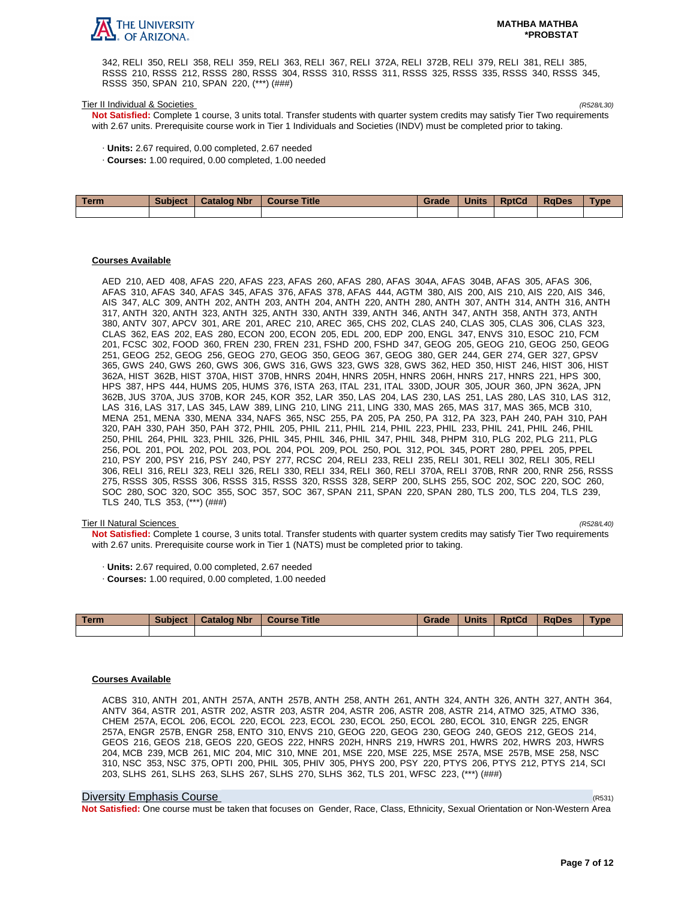

342, RELI 350, RELI 358, RELI 359, RELI 363, RELI 367, RELI 372A, RELI 372B, RELI 379, RELI 381, RELI 385, RSSS 210, RSSS 212, RSSS 280, RSSS 304, RSSS 310, RSSS 311, RSSS 325, RSSS 335, RSSS 340, RSSS 345, RSSS 350, SPAN 210, SPAN 220, (\*\*\*) (###)

#### Tier II Individual & Societies (R528/L30)

**Not Satisfied:** Complete 1 course, 3 units total. Transfer students with quarter system credits may satisfy Tier Two requirements with 2.67 units. Prerequisite course work in Tier 1 Individuals and Societies (INDV) must be completed prior to taking.

- · **Units:** 2.67 required, 0.00 completed, 2.67 needed
- · **Courses:** 1.00 required, 0.00 completed, 1.00 needed

| Term | Subject   Catalog Nbr | Course Title | Grade | <b>Units</b> | <b>RptCd</b> | <b>RaDes</b> | <b>Type</b> |
|------|-----------------------|--------------|-------|--------------|--------------|--------------|-------------|
|      |                       |              |       |              |              |              |             |

#### **Courses Available**

AED 210, AED 408, AFAS 220, AFAS 223, AFAS 260, AFAS 280, AFAS 304A, AFAS 304B, AFAS 305, AFAS 306, AFAS 310, AFAS 340, AFAS 345, AFAS 376, AFAS 378, AFAS 444, AGTM 380, AIS 200, AIS 210, AIS 220, AIS 346, AIS 347, ALC 309, ANTH 202, ANTH 203, ANTH 204, ANTH 220, ANTH 280, ANTH 307, ANTH 314, ANTH 316, ANTH 317, ANTH 320, ANTH 323, ANTH 325, ANTH 330, ANTH 339, ANTH 346, ANTH 347, ANTH 358, ANTH 373, ANTH 380, ANTV 307, APCV 301, ARE 201, AREC 210, AREC 365, CHS 202, CLAS 240, CLAS 305, CLAS 306, CLAS 323, CLAS 362, EAS 202, EAS 280, ECON 200, ECON 205, EDL 200, EDP 200, ENGL 347, ENVS 310, ESOC 210, FCM 201, FCSC 302, FOOD 360, FREN 230, FREN 231, FSHD 200, FSHD 347, GEOG 205, GEOG 210, GEOG 250, GEOG 251, GEOG 252, GEOG 256, GEOG 270, GEOG 350, GEOG 367, GEOG 380, GER 244, GER 274, GER 327, GPSV 365, GWS 240, GWS 260, GWS 306, GWS 316, GWS 323, GWS 328, GWS 362, HED 350, HIST 246, HIST 306, HIST 362A, HIST 362B, HIST 370A, HIST 370B, HNRS 204H, HNRS 205H, HNRS 206H, HNRS 217, HNRS 221, HPS 300, HPS 387, HPS 444, HUMS 205, HUMS 376, ISTA 263, ITAL 231, ITAL 330D, JOUR 305, JOUR 360, JPN 362A, JPN 362B, JUS 370A, JUS 370B, KOR 245, KOR 352, LAR 350, LAS 204, LAS 230, LAS 251, LAS 280, LAS 310, LAS 312, LAS 316, LAS 317, LAS 345, LAW 389, LING 210, LING 211, LING 330, MAS 265, MAS 317, MAS 365, MCB 310, MENA 251, MENA 330, MENA 334, NAFS 365, NSC 255, PA 205, PA 250, PA 312, PA 323, PAH 240, PAH 310, PAH 320, PAH 330, PAH 350, PAH 372, PHIL 205, PHIL 211, PHIL 214, PHIL 223, PHIL 233, PHIL 241, PHIL 246, PHIL 250, PHIL 264, PHIL 323, PHIL 326, PHIL 345, PHIL 346, PHIL 347, PHIL 348, PHPM 310, PLG 202, PLG 211, PLG 256, POL 201, POL 202, POL 203, POL 204, POL 209, POL 250, POL 312, POL 345, PORT 280, PPEL 205, PPEL 210, PSY 200, PSY 216, PSY 240, PSY 277, RCSC 204, RELI 233, RELI 235, RELI 301, RELI 302, RELI 305, RELI 306, RELI 316, RELI 323, RELI 326, RELI 330, RELI 334, RELI 360, RELI 370A, RELI 370B, RNR 200, RNR 256, RSSS 275, RSSS 305, RSSS 306, RSSS 315, RSSS 320, RSSS 328, SERP 200, SLHS 255, SOC 202, SOC 220, SOC 260, SOC 280, SOC 320, SOC 355, SOC 357, SOC 367, SPAN 211, SPAN 220, SPAN 280, TLS 200, TLS 204, TLS 239, TLS 240, TLS 353, (\*\*\*) (###)

#### Tier II Natural Sciences (R528/L40)

**Not Satisfied:** Complete 1 course, 3 units total. Transfer students with quarter system credits may satisfy Tier Two requirements with 2.67 units. Prerequisite course work in Tier 1 (NATS) must be completed prior to taking.

- · **Units:** 2.67 required, 0.00 completed, 2.67 needed
- · **Courses:** 1.00 required, 0.00 completed, 1.00 needed

| Term | <b>Subject</b> | <b>Catalog Nbr</b> | <b>Course Title</b> | Grade | <b>Units</b> | <b>RptCd</b> | <b>RaDes</b> | <b>Type</b> |
|------|----------------|--------------------|---------------------|-------|--------------|--------------|--------------|-------------|
|      |                |                    |                     |       |              |              |              |             |

#### **Courses Available**

ACBS 310, ANTH 201, ANTH 257A, ANTH 257B, ANTH 258, ANTH 261, ANTH 324, ANTH 326, ANTH 327, ANTH 364, ANTV 364, ASTR 201, ASTR 202, ASTR 203, ASTR 204, ASTR 206, ASTR 208, ASTR 214, ATMO 325, ATMO 336, CHEM 257A, ECOL 206, ECOL 220, ECOL 223, ECOL 230, ECOL 250, ECOL 280, ECOL 310, ENGR 225, ENGR 257A, ENGR 257B, ENGR 258, ENTO 310, ENVS 210, GEOG 220, GEOG 230, GEOG 240, GEOS 212, GEOS 214, GEOS 216, GEOS 218, GEOS 220, GEOS 222, HNRS 202H, HNRS 219, HWRS 201, HWRS 202, HWRS 203, HWRS 204, MCB 239, MCB 261, MIC 204, MIC 310, MNE 201, MSE 220, MSE 225, MSE 257A, MSE 257B, MSE 258, NSC 310, NSC 353, NSC 375, OPTI 200, PHIL 305, PHIV 305, PHYS 200, PSY 220, PTYS 206, PTYS 212, PTYS 214, SCI 203, SLHS 261, SLHS 263, SLHS 267, SLHS 270, SLHS 362, TLS 201, WFSC 223, (\*\*\*) (###)

#### Diversity Emphasis Course (R531)

**Not Satisfied:** One course must be taken that focuses on Gender, Race, Class, Ethnicity, Sexual Orientation or Non-Western Area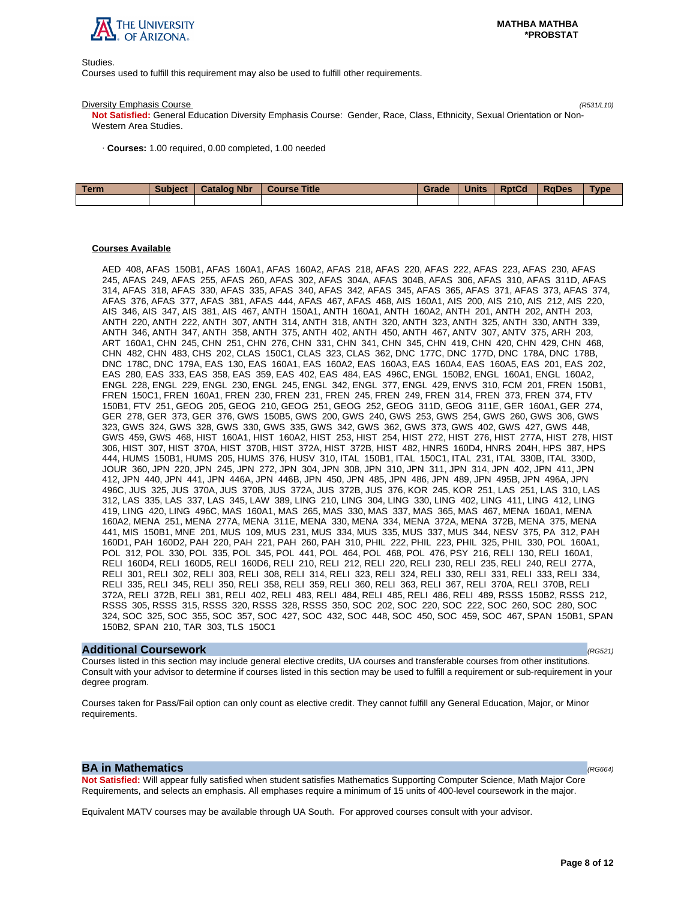

Studies.

Courses used to fulfill this requirement may also be used to fulfill other requirements.

#### Diversity Emphasis Course (R531/L10)

**Not Satisfied:** General Education Diversity Emphasis Course: Gender, Race, Class, Ethnicity, Sexual Orientation or Non-Western Area Studies.

· **Courses:** 1.00 required, 0.00 completed, 1.00 needed

| <b>Term</b> | <b>Subject</b> | <b>Catalog Nbr</b> | Course Title | Grade | <b>Units</b> | <b>RptCd</b> | RaDes | <b>Type</b> |
|-------------|----------------|--------------------|--------------|-------|--------------|--------------|-------|-------------|
|             |                |                    |              |       |              |              |       |             |

## **Courses Available**

AED 408, AFAS 150B1, AFAS 160A1, AFAS 160A2, AFAS 218, AFAS 220, AFAS 222, AFAS 223, AFAS 230, AFAS 245, AFAS 249, AFAS 255, AFAS 260, AFAS 302, AFAS 304A, AFAS 304B, AFAS 306, AFAS 310, AFAS 311D, AFAS 314, AFAS 318, AFAS 330, AFAS 335, AFAS 340, AFAS 342, AFAS 345, AFAS 365, AFAS 371, AFAS 373, AFAS 374, AFAS 376, AFAS 377, AFAS 381, AFAS 444, AFAS 467, AFAS 468, AIS 160A1, AIS 200, AIS 210, AIS 212, AIS 220, AIS 346, AIS 347, AIS 381, AIS 467, ANTH 150A1, ANTH 160A1, ANTH 160A2, ANTH 201, ANTH 202, ANTH 203, ANTH 220, ANTH 222, ANTH 307, ANTH 314, ANTH 318, ANTH 320, ANTH 323, ANTH 325, ANTH 330, ANTH 339, ANTH 346, ANTH 347, ANTH 358, ANTH 375, ANTH 402, ANTH 450, ANTH 467, ANTV 307, ANTV 375, ARH 203, ART 160A1, CHN 245, CHN 251, CHN 276, CHN 331, CHN 341, CHN 345, CHN 419, CHN 420, CHN 429, CHN 468, CHN 482, CHN 483, CHS 202, CLAS 150C1, CLAS 323, CLAS 362, DNC 177C, DNC 177D, DNC 178A, DNC 178B, DNC 178C, DNC 179A, EAS 130, EAS 160A1, EAS 160A2, EAS 160A3, EAS 160A4, EAS 160A5, EAS 201, EAS 202, EAS 280, EAS 333, EAS 358, EAS 359, EAS 402, EAS 484, EAS 496C, ENGL 150B2, ENGL 160A1, ENGL 160A2, ENGL 228, ENGL 229, ENGL 230, ENGL 245, ENGL 342, ENGL 377, ENGL 429, ENVS 310, FCM 201, FREN 150B1, FREN 150C1, FREN 160A1, FREN 230, FREN 231, FREN 245, FREN 249, FREN 314, FREN 373, FREN 374, FTV 150B1, FTV 251, GEOG 205, GEOG 210, GEOG 251, GEOG 252, GEOG 311D, GEOG 311E, GER 160A1, GER 274, GER 278, GER 373, GER 376, GWS 150B5, GWS 200, GWS 240, GWS 253, GWS 254, GWS 260, GWS 306, GWS 323, GWS 324, GWS 328, GWS 330, GWS 335, GWS 342, GWS 362, GWS 373, GWS 402, GWS 427, GWS 448, GWS 459, GWS 468, HIST 160A1, HIST 160A2, HIST 253, HIST 254, HIST 272, HIST 276, HIST 277A, HIST 278, HIST 306, HIST 307, HIST 370A, HIST 370B, HIST 372A, HIST 372B, HIST 482, HNRS 160D4, HNRS 204H, HPS 387, HPS 444, HUMS 150B1, HUMS 205, HUMS 376, HUSV 310, ITAL 150B1, ITAL 150C1, ITAL 231, ITAL 330B, ITAL 330D, JOUR 360, JPN 220, JPN 245, JPN 272, JPN 304, JPN 308, JPN 310, JPN 311, JPN 314, JPN 402, JPN 411, JPN 412, JPN 440, JPN 441, JPN 446A, JPN 446B, JPN 450, JPN 485, JPN 486, JPN 489, JPN 495B, JPN 496A, JPN 496C, JUS 325, JUS 370A, JUS 370B, JUS 372A, JUS 372B, JUS 376, KOR 245, KOR 251, LAS 251, LAS 310, LAS 312, LAS 335, LAS 337, LAS 345, LAW 389, LING 210, LING 304, LING 330, LING 402, LING 411, LING 412, LING 419, LING 420, LING 496C, MAS 160A1, MAS 265, MAS 330, MAS 337, MAS 365, MAS 467, MENA 160A1, MENA 160A2, MENA 251, MENA 277A, MENA 311E, MENA 330, MENA 334, MENA 372A, MENA 372B, MENA 375, MENA 441, MIS 150B1, MNE 201, MUS 109, MUS 231, MUS 334, MUS 335, MUS 337, MUS 344, NESV 375, PA 312, PAH 160D1, PAH 160D2, PAH 220, PAH 221, PAH 260, PAH 310, PHIL 222, PHIL 223, PHIL 325, PHIL 330, POL 160A1, POL 312, POL 330, POL 335, POL 345, POL 441, POL 464, POL 468, POL 476, PSY 216, RELI 130, RELI 160A1, RELI 160D4, RELI 160D5, RELI 160D6, RELI 210, RELI 212, RELI 220, RELI 230, RELI 235, RELI 240, RELI 277A, RELI 301, RELI 302, RELI 303, RELI 308, RELI 314, RELI 323, RELI 324, RELI 330, RELI 331, RELI 333, RELI 334, RELI 335, RELI 345, RELI 350, RELI 358, RELI 359, RELI 360, RELI 363, RELI 367, RELI 370A, RELI 370B, RELI 372A, RELI 372B, RELI 381, RELI 402, RELI 483, RELI 484, RELI 485, RELI 486, RELI 489, RSSS 150B2, RSSS 212, RSSS 305, RSSS 315, RSSS 320, RSSS 328, RSSS 350, SOC 202, SOC 220, SOC 222, SOC 260, SOC 280, SOC 324, SOC 325, SOC 355, SOC 357, SOC 427, SOC 432, SOC 448, SOC 450, SOC 459, SOC 467, SPAN 150B1, SPAN 150B2, SPAN 210, TAR 303, TLS 150C1

#### **Additional Coursework** (RG521)

Courses listed in this section may include general elective credits, UA courses and transferable courses from other institutions. Consult with your advisor to determine if courses listed in this section may be used to fulfill a requirement or sub-requirement in your degree program.

Courses taken for Pass/Fail option can only count as elective credit. They cannot fulfill any General Education, Major, or Minor requirements.

## **BA in Mathematics**  $(RG664)$

**Not Satisfied:** Will appear fully satisfied when student satisfies Mathematics Supporting Computer Science, Math Major Core Requirements, and selects an emphasis. All emphases require a minimum of 15 units of 400-level coursework in the major.

Equivalent MATV courses may be available through UA South. For approved courses consult with your advisor.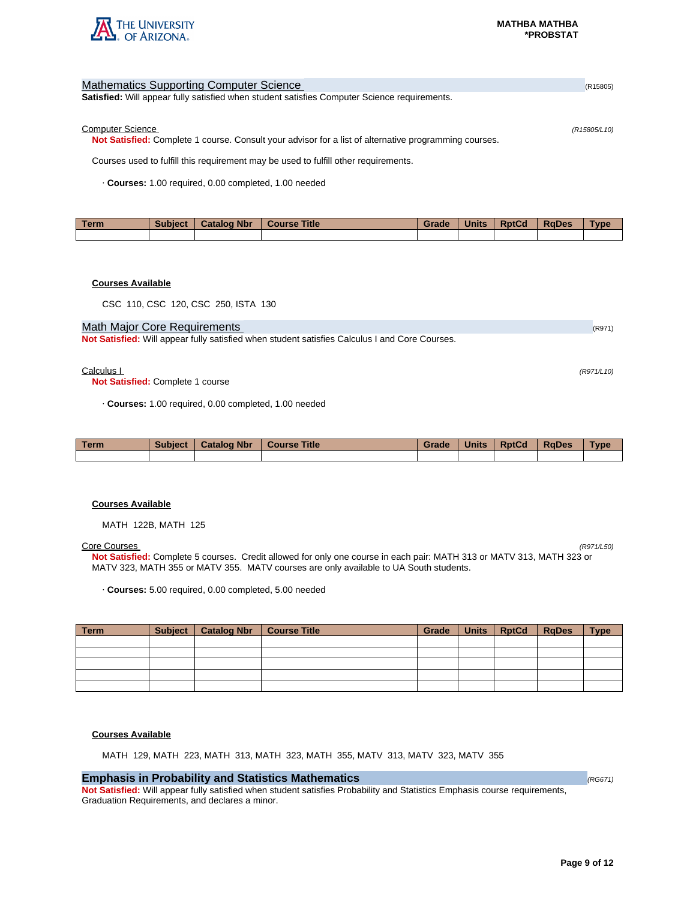

| <b>Mathematics Supporting Computer Science</b>                                                        | (R15805)     |
|-------------------------------------------------------------------------------------------------------|--------------|
| <b>Satisfied:</b> Will appear fully satisfied when student satisfies Computer Science requirements.   |              |
|                                                                                                       |              |
| <b>Computer Science</b>                                                                               | (R15805/L10) |
| Not Satisfied: Complete 1 course. Consult your advisor for a list of alternative programming courses. |              |
| Courses used to fulfill this requirement may be used to fulfill other requirements.                   |              |
| Courses: 1.00 required, 0.00 completed, 1.00 needed                                                   |              |

| Term | <b>Subject</b> | <b>Catalog Nbr</b> | <b>Course Title</b> | Grade | <b>Units</b> | <b>RptCd</b> | <b>RaDes</b> | Type |
|------|----------------|--------------------|---------------------|-------|--------------|--------------|--------------|------|
|      |                |                    |                     |       |              |              |              |      |

## **Courses Available**

CSC 110, CSC 120, CSC 250, ISTA 130

## Math Major Core Requirements (R971) 2008 12:00 12:00 12:00 12:00 12:00 12:00 12:00 12:00 12:00 12:00 12:00 12:00 12:00 12:00 12:00 12:00 12:00 12:00 12:00 12:00 12:00 12:00 12:00 12:00 12:00 12:00 12:00 12:00 12:00 12:00 1

**Not Satisfied:** Will appear fully satisfied when student satisfies Calculus I and Core Courses.

#### $Calculus 1$  (R971/L10)

**Not Satisfied:** Complete 1 course

· **Courses:** 1.00 required, 0.00 completed, 1.00 needed

| <b>Term</b> | <b>Subject</b> | <b>Catalog Nbr</b> | <b>Course Title</b> | Grade | <b>Units</b> | <b>RptCd</b> | <b>RaDes</b> | <b>Type</b> |
|-------------|----------------|--------------------|---------------------|-------|--------------|--------------|--------------|-------------|
|             |                |                    |                     |       |              |              |              |             |

#### **Courses Available**

MATH 122B, MATH 125

#### Core Courses (R971/L50)

**Not Satisfied:** Complete 5 courses. Credit allowed for only one course in each pair: MATH 313 or MATV 313, MATH 323 or MATV 323, MATH 355 or MATV 355. MATV courses are only available to UA South students.

· **Courses:** 5.00 required, 0.00 completed, 5.00 needed

| Term | Subject   Catalog Nbr   Course Title | Grade | Units   RptCd   RqDes | <b>Type</b> |
|------|--------------------------------------|-------|-----------------------|-------------|
|      |                                      |       |                       |             |
|      |                                      |       |                       |             |
|      |                                      |       |                       |             |
|      |                                      |       |                       |             |
|      |                                      |       |                       |             |

#### **Courses Available**

MATH 129, MATH 223, MATH 313, MATH 323, MATH 355, MATV 313, MATV 323, MATV 355

## **Emphasis in Probability and Statistics Mathematics** (RG671)

**Not Satisfied:** Will appear fully satisfied when student satisfies Probability and Statistics Emphasis course requirements, Graduation Requirements, and declares a minor.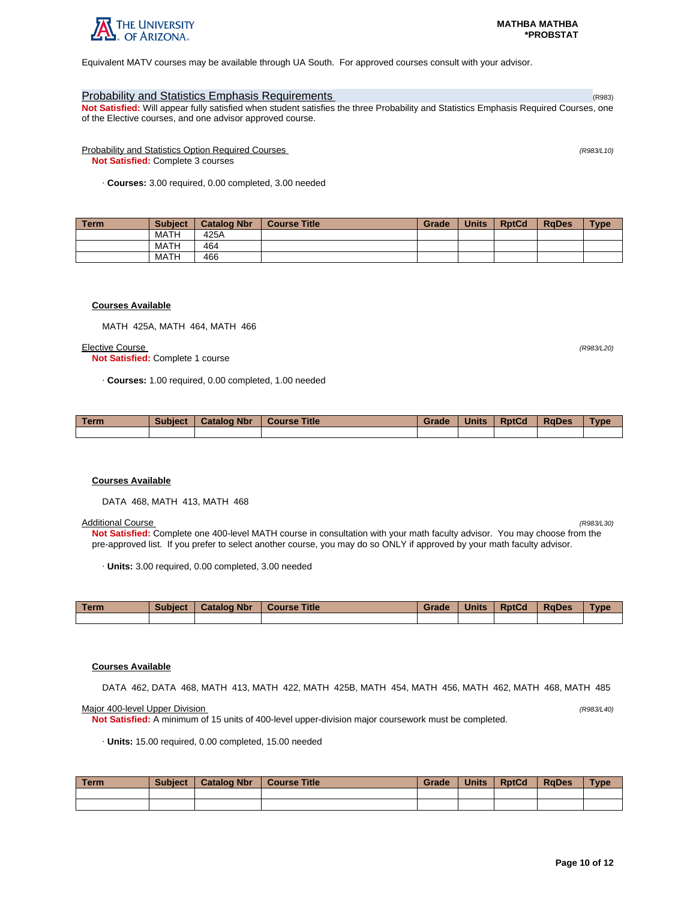

Equivalent MATV courses may be available through UA South. For approved courses consult with your advisor.

## Probability and Statistics Emphasis Requirements (R983) and R983) and R983) and R983) and R983

**Not Satisfied:** Will appear fully satisfied when student satisfies the three Probability and Statistics Emphasis Required Courses, one of the Elective courses, and one advisor approved course.

Probability and Statistics Option Required Courses (R983/L10) **Not Satisfied:** Complete 3 courses

· **Courses:** 3.00 required, 0.00 completed, 3.00 needed

| <b>Term</b> | <b>Subject</b> | <b>Catalog Nbr</b> | <b>Course Title</b> | Grade | <b>Units</b> | <b>RptCd</b> | <b>RaDes</b> | <b>Type</b> |
|-------------|----------------|--------------------|---------------------|-------|--------------|--------------|--------------|-------------|
|             | <b>MATH</b>    | 425A               |                     |       |              |              |              |             |
|             | <b>MATH</b>    | 464                |                     |       |              |              |              |             |
|             | <b>MATH</b>    | 466                |                     |       |              |              |              |             |

#### **Courses Available**

MATH 425A, MATH 464, MATH 466

#### Elective Course (R983/L20)

**Not Satisfied:** Complete 1 course

· **Courses:** 1.00 required, 0.00 completed, 1.00 needed

| Term | <b>Subject</b> | <b>Catalog Nbr</b> | <b>Course Title</b> | Grade | <b>Units</b> | <b>RptCd</b> | <b>RaDes</b> | Type |
|------|----------------|--------------------|---------------------|-------|--------------|--------------|--------------|------|
|      |                |                    |                     |       |              |              |              |      |

## **Courses Available**

DATA 468, MATH 413, MATH 468

#### Additional Course (R983/L30)

**Not Satisfied:** Complete one 400-level MATH course in consultation with your math faculty advisor. You may choose from the pre-approved list. If you prefer to select another course, you may do so ONLY if approved by your math faculty advisor.

· **Units:** 3.00 required, 0.00 completed, 3.00 needed

| Term | <b>Subject</b> | <b>Catalog Nbr</b> | <b>Course Title</b> | Grade | <b>Units</b> | <b>RptCd</b> | RaDes | <b>Type</b> |
|------|----------------|--------------------|---------------------|-------|--------------|--------------|-------|-------------|
|      |                |                    |                     |       |              |              |       |             |

#### **Courses Available**

DATA 462, DATA 468, MATH 413, MATH 422, MATH 425B, MATH 454, MATH 456, MATH 462, MATH 468, MATH 485

Major 400-level Upper Division (R983/L40)

**Not Satisfied:** A minimum of 15 units of 400-level upper-division major coursework must be completed.

· **Units:** 15.00 required, 0.00 completed, 15.00 needed

| Term | <b>Subject</b> | <b>Catalog Nbr</b> | <b>Course Title</b> | Grade | <b>Units</b> | <b>RptCd</b> | <b>RaDes</b> | Type |
|------|----------------|--------------------|---------------------|-------|--------------|--------------|--------------|------|
|      |                |                    |                     |       |              |              |              |      |
|      |                |                    |                     |       |              |              |              |      |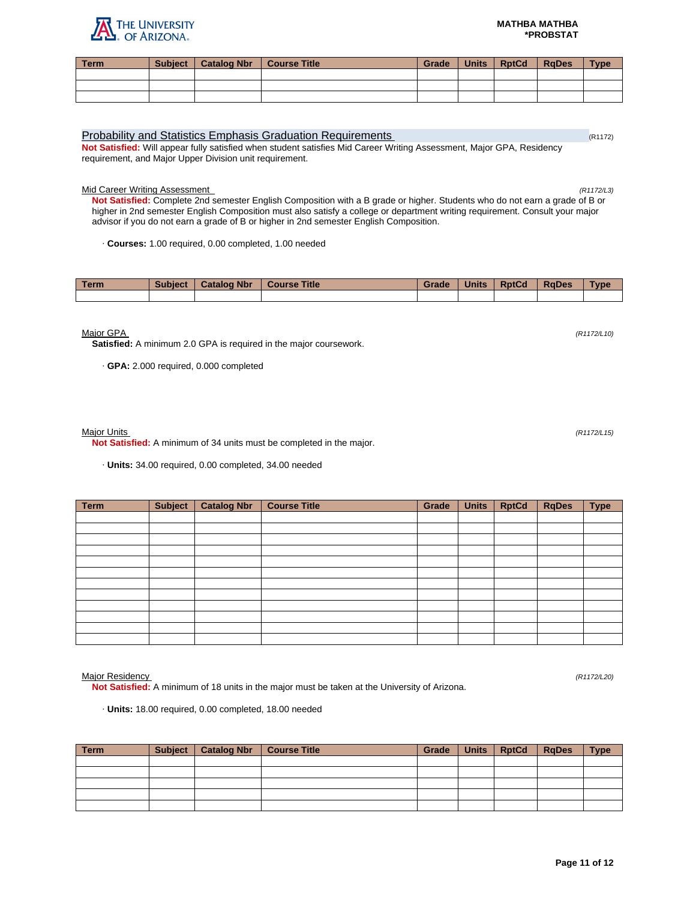# THE UNIVERSITY

| <b>Term</b> | Subject   Catalog Nbr   Course Title | Grade | Units | <b>RptCd</b> | <b>I</b> RaDes | <b>Type</b> |
|-------------|--------------------------------------|-------|-------|--------------|----------------|-------------|
|             |                                      |       |       |              |                |             |
|             |                                      |       |       |              |                |             |
|             |                                      |       |       |              |                |             |

## Probability and Statistics Emphasis Graduation Requirements (R1172) (R1172) **Not Satisfied:** Will appear fully satisfied when student satisfies Mid Career Writing Assessment, Major GPA, Residency

requirement, and Major Upper Division unit requirement.

Mid Career Writing Assessment (R1172/L3)

**Not Satisfied:** Complete 2nd semester English Composition with a B grade or higher. Students who do not earn a grade of B or higher in 2nd semester English Composition must also satisfy a college or department writing requirement. Consult your major advisor if you do not earn a grade of B or higher in 2nd semester English Composition.

· **Courses:** 1.00 required, 0.00 completed, 1.00 needed

| <b>Term</b> | <b>Subject</b> | <b>Catalog Nbr</b> | <b>Course Title</b> | Grade | <b>Units</b> | <b>RptCd</b> | <b>RaDes</b> | Type |
|-------------|----------------|--------------------|---------------------|-------|--------------|--------------|--------------|------|
|             |                |                    |                     |       |              |              |              |      |

Major GPA (R1172/L10)

**Satisfied:** A minimum 2.0 GPA is required in the major coursework.

· **GPA:** 2.000 required, 0.000 completed

Major Units (R1172/L15)

**Not Satisfied:** A minimum of 34 units must be completed in the major.

· **Units:** 34.00 required, 0.00 completed, 34.00 needed

| <b>Term</b> | <b>Subject</b> | <b>Catalog Nbr</b> | <b>Course Title</b> | Grade | <b>Units</b> | <b>RptCd</b> | <b>RqDes</b> | <b>Type</b> |
|-------------|----------------|--------------------|---------------------|-------|--------------|--------------|--------------|-------------|
|             |                |                    |                     |       |              |              |              |             |
|             |                |                    |                     |       |              |              |              |             |
|             |                |                    |                     |       |              |              |              |             |
|             |                |                    |                     |       |              |              |              |             |
|             |                |                    |                     |       |              |              |              |             |
|             |                |                    |                     |       |              |              |              |             |
|             |                |                    |                     |       |              |              |              |             |
|             |                |                    |                     |       |              |              |              |             |
|             |                |                    |                     |       |              |              |              |             |
|             |                |                    |                     |       |              |              |              |             |
|             |                |                    |                     |       |              |              |              |             |
|             |                |                    |                     |       |              |              |              |             |

Major Residency (R1172/L20)

**Not Satisfied:** A minimum of 18 units in the major must be taken at the University of Arizona.

· **Units:** 18.00 required, 0.00 completed, 18.00 needed

| <b>Term</b> | Subject   Catalog Nbr   Course Title | Grade | Units   RptCd   RqDes | <b>Type</b> |
|-------------|--------------------------------------|-------|-----------------------|-------------|
|             |                                      |       |                       |             |
|             |                                      |       |                       |             |
|             |                                      |       |                       |             |
|             |                                      |       |                       |             |
|             |                                      |       |                       |             |